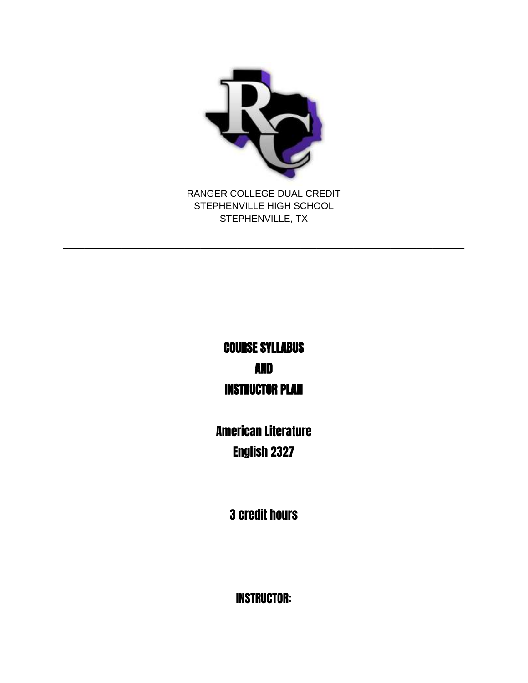

STEPHENVILLE HIGH SCHOOL STEPHENVILLE, TX

\_\_\_\_\_\_\_\_\_\_\_\_\_\_\_\_\_\_\_\_\_\_\_\_\_\_\_\_\_\_\_\_\_\_\_\_\_\_\_\_\_\_\_\_\_\_\_\_\_\_\_\_\_\_\_\_\_\_\_\_\_\_\_\_\_\_\_\_\_\_\_\_\_\_\_\_

# COURSE SYLLABUS AND INSTRUCTOR PLAN

American Literature English 2327

3 credit hours

INSTRUCTOR: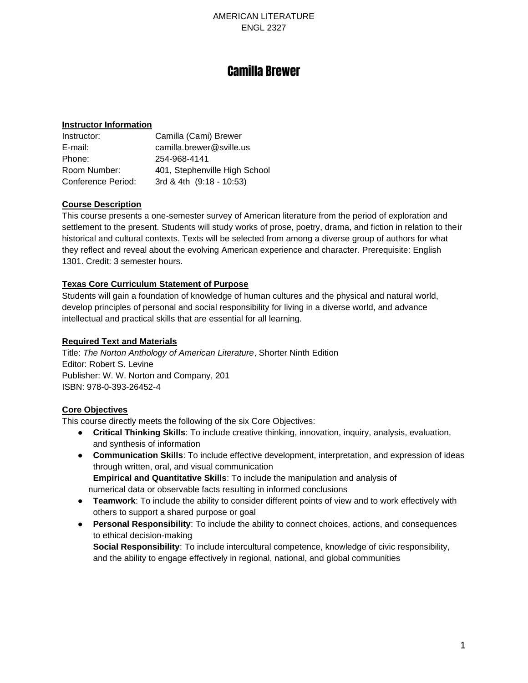## Camilla Brewer

#### **Instructor Information**

| Instructor:        | Camilla (Cami) Brewer         |
|--------------------|-------------------------------|
| E-mail:            | camilla.brewer@sville.us      |
| Phone:             | 254-968-4141                  |
| Room Number:       | 401, Stephenville High School |
| Conference Period: | 3rd & 4th (9:18 - 10:53)      |

#### **Course Description**

This course presents a one-semester survey of American literature from the period of exploration and settlement to the present. Students will study works of prose, poetry, drama, and fiction in relation to their historical and cultural contexts. Texts will be selected from among a diverse group of authors for what they reflect and reveal about the evolving American experience and character. Prerequisite: English 1301. Credit: 3 semester hours.

#### **Texas Core Curriculum Statement of Purpose**

Students will gain a foundation of knowledge of human cultures and the physical and natural world, develop principles of personal and social responsibility for living in a diverse world, and advance intellectual and practical skills that are essential for all learning.

#### **Required Text and Materials**

Title: *The Norton Anthology of American Literature*, Shorter Ninth Edition Editor: Robert S. Levine Publisher: W. W. Norton and Company, 201 ISBN: 978-0-393-26452-4

#### **Core Objectives**

This course directly meets the following of the six Core Objectives:

- **Critical Thinking Skills**: To include creative thinking, innovation, inquiry, analysis, evaluation, and synthesis of information
- **Communication Skills**: To include effective development, interpretation, and expression of ideas through written, oral, and visual communication **Empirical and Quantitative Skills**: To include the manipulation and analysis of numerical data or observable facts resulting in informed conclusions
- **Teamwork**: To include the ability to consider different points of view and to work effectively with others to support a shared purpose or goal
- **Personal Responsibility**: To include the ability to connect choices, actions, and consequences to ethical decision-making

**Social Responsibility**: To include intercultural competence, knowledge of civic responsibility, and the ability to engage effectively in regional, national, and global communities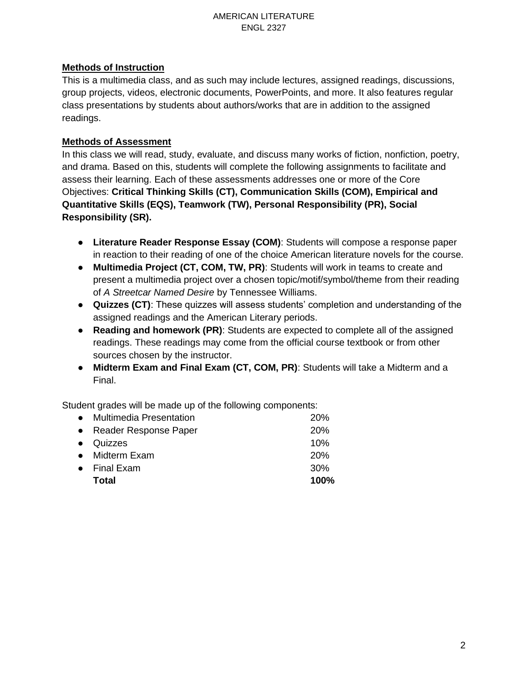### **Methods of Instruction**

This is a multimedia class, and as such may include lectures, assigned readings, discussions, group projects, videos, electronic documents, PowerPoints, and more. It also features regular class presentations by students about authors/works that are in addition to the assigned readings.

### **Methods of Assessment**

In this class we will read, study, evaluate, and discuss many works of fiction, nonfiction, poetry, and drama. Based on this, students will complete the following assignments to facilitate and assess their learning. Each of these assessments addresses one or more of the Core Objectives: **Critical Thinking Skills (CT), Communication Skills (COM), Empirical and Quantitative Skills (EQS), Teamwork (TW), Personal Responsibility (PR), Social Responsibility (SR).**

- **Literature Reader Response Essay (COM)**: Students will compose a response paper in reaction to their reading of one of the choice American literature novels for the course.
- **Multimedia Project (CT, COM, TW, PR)**: Students will work in teams to create and present a multimedia project over a chosen topic/motif/symbol/theme from their reading of *A Streetcar Named Desire* by Tennessee Williams.
- **Quizzes (CT)**: These quizzes will assess students' completion and understanding of the assigned readings and the American Literary periods.
- **Reading and homework (PR)**: Students are expected to complete all of the assigned readings. These readings may come from the official course textbook or from other sources chosen by the instructor.
- **Midterm Exam and Final Exam (CT, COM, PR)**: Students will take a Midterm and a Final.

Student grades will be made up of the following components:

| Total                     | 100%       |
|---------------------------|------------|
| $\bullet$ Final Exam      | 30%        |
| • Midterm Exam            | 20%        |
| $\bullet$ Quizzes         | 10%        |
| • Reader Response Paper   | 20%        |
| • Multimedia Presentation | <b>20%</b> |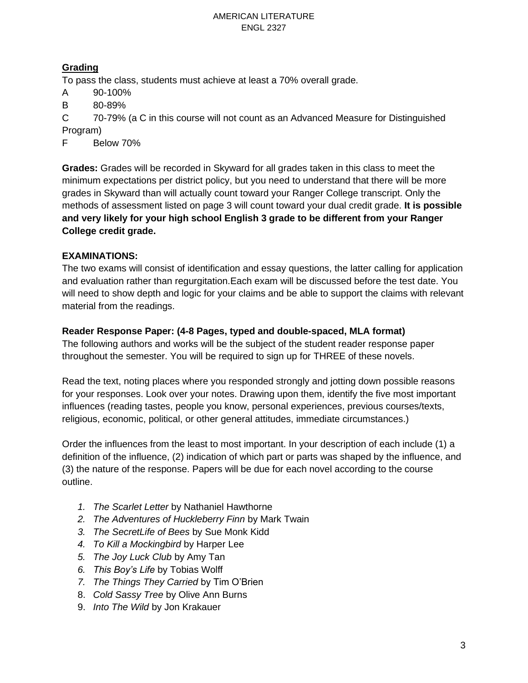### **Grading**

To pass the class, students must achieve at least a 70% overall grade.

- A 90-100%
- B 80-89%

C 70-79% (a C in this course will not count as an Advanced Measure for Distinguished Program)

F Below 70%

**Grades:** Grades will be recorded in Skyward for all grades taken in this class to meet the minimum expectations per district policy, but you need to understand that there will be more grades in Skyward than will actually count toward your Ranger College transcript. Only the methods of assessment listed on page 3 will count toward your dual credit grade. **It is possible and very likely for your high school English 3 grade to be different from your Ranger College credit grade.**

### **EXAMINATIONS:**

The two exams will consist of identification and essay questions, the latter calling for application and evaluation rather than regurgitation.Each exam will be discussed before the test date. You will need to show depth and logic for your claims and be able to support the claims with relevant material from the readings.

### **Reader Response Paper: (4-8 Pages, typed and double-spaced, MLA format)**

The following authors and works will be the subject of the student reader response paper throughout the semester. You will be required to sign up for THREE of these novels.

Read the text, noting places where you responded strongly and jotting down possible reasons for your responses. Look over your notes. Drawing upon them, identify the five most important influences (reading tastes, people you know, personal experiences, previous courses/texts, religious, economic, political, or other general attitudes, immediate circumstances.)

Order the influences from the least to most important. In your description of each include (1) a definition of the influence, (2) indication of which part or parts was shaped by the influence, and (3) the nature of the response. Papers will be due for each novel according to the course outline.

- *1. The Scarlet Letter* by Nathaniel Hawthorne
- *2. The Adventures of Huckleberry Finn* by Mark Twain
- *3. The SecretLife of Bees* by Sue Monk Kidd
- *4. To Kill a Mockingbird* by Harper Lee
- *5. The Joy Luck Club* by Amy Tan
- *6. This Boy's Life* by Tobias Wolff
- *7. The Things They Carried* by Tim O'Brien
- 8. *Cold Sassy Tree* by Olive Ann Burns
- 9. *Into The Wild* by Jon Krakauer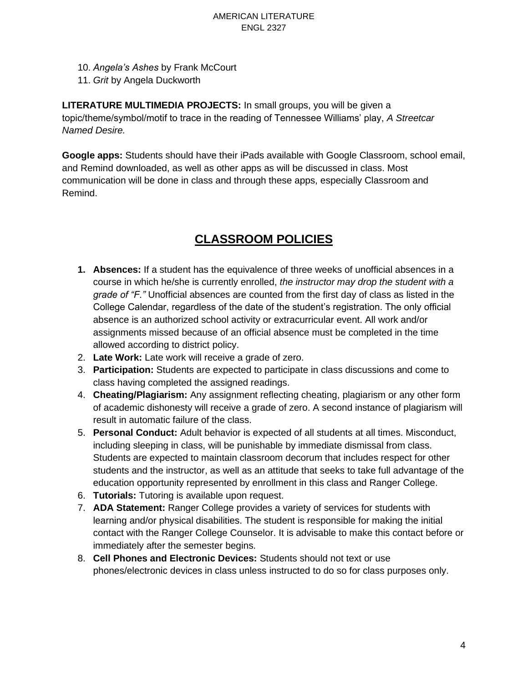- 10. *Angela's Ashes* by Frank McCourt
- 11. *Grit* by Angela Duckworth

**LITERATURE MULTIMEDIA PROJECTS:** In small groups, you will be given a topic/theme/symbol/motif to trace in the reading of Tennessee Williams' play, *A Streetcar Named Desire.*

**Google apps:** Students should have their iPads available with Google Classroom, school email, and Remind downloaded, as well as other apps as will be discussed in class. Most communication will be done in class and through these apps, especially Classroom and Remind.

## **CLASSROOM POLICIES**

- **1. Absences:** If a student has the equivalence of three weeks of unofficial absences in a course in which he/she is currently enrolled, *the instructor may drop the student with a grade of "F."* Unofficial absences are counted from the first day of class as listed in the College Calendar, regardless of the date of the student's registration. The only official absence is an authorized school activity or extracurricular event. All work and/or assignments missed because of an official absence must be completed in the time allowed according to district policy.
- 2. **Late Work:** Late work will receive a grade of zero.
- 3. **Participation:** Students are expected to participate in class discussions and come to class having completed the assigned readings.
- 4. **Cheating/Plagiarism:** Any assignment reflecting cheating, plagiarism or any other form of academic dishonesty will receive a grade of zero. A second instance of plagiarism will result in automatic failure of the class.
- 5. **Personal Conduct:** Adult behavior is expected of all students at all times. Misconduct, including sleeping in class, will be punishable by immediate dismissal from class. Students are expected to maintain classroom decorum that includes respect for other students and the instructor, as well as an attitude that seeks to take full advantage of the education opportunity represented by enrollment in this class and Ranger College.
- 6. **Tutorials:** Tutoring is available upon request.
- 7. **ADA Statement:** Ranger College provides a variety of services for students with learning and/or physical disabilities. The student is responsible for making the initial contact with the Ranger College Counselor. It is advisable to make this contact before or immediately after the semester begins.
- 8. **Cell Phones and Electronic Devices:** Students should not text or use phones/electronic devices in class unless instructed to do so for class purposes only.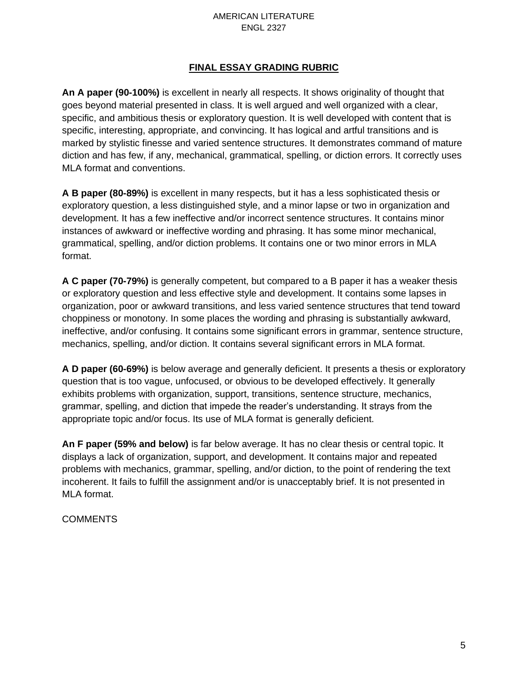### **FINAL ESSAY GRADING RUBRIC**

**An A paper (90-100%)** is excellent in nearly all respects. It shows originality of thought that goes beyond material presented in class. It is well argued and well organized with a clear, specific, and ambitious thesis or exploratory question. It is well developed with content that is specific, interesting, appropriate, and convincing. It has logical and artful transitions and is marked by stylistic finesse and varied sentence structures. It demonstrates command of mature diction and has few, if any, mechanical, grammatical, spelling, or diction errors. It correctly uses MLA format and conventions.

**A B paper (80-89%)** is excellent in many respects, but it has a less sophisticated thesis or exploratory question, a less distinguished style, and a minor lapse or two in organization and development. It has a few ineffective and/or incorrect sentence structures. It contains minor instances of awkward or ineffective wording and phrasing. It has some minor mechanical, grammatical, spelling, and/or diction problems. It contains one or two minor errors in MLA format.

**A C paper (70-79%)** is generally competent, but compared to a B paper it has a weaker thesis or exploratory question and less effective style and development. It contains some lapses in organization, poor or awkward transitions, and less varied sentence structures that tend toward choppiness or monotony. In some places the wording and phrasing is substantially awkward, ineffective, and/or confusing. It contains some significant errors in grammar, sentence structure, mechanics, spelling, and/or diction. It contains several significant errors in MLA format.

**A D paper (60-69%)** is below average and generally deficient. It presents a thesis or exploratory question that is too vague, unfocused, or obvious to be developed effectively. It generally exhibits problems with organization, support, transitions, sentence structure, mechanics, grammar, spelling, and diction that impede the reader's understanding. It strays from the appropriate topic and/or focus. Its use of MLA format is generally deficient.

**An F paper (59% and below)** is far below average. It has no clear thesis or central topic. It displays a lack of organization, support, and development. It contains major and repeated problems with mechanics, grammar, spelling, and/or diction, to the point of rendering the text incoherent. It fails to fulfill the assignment and/or is unacceptably brief. It is not presented in MLA format.

#### **COMMENTS**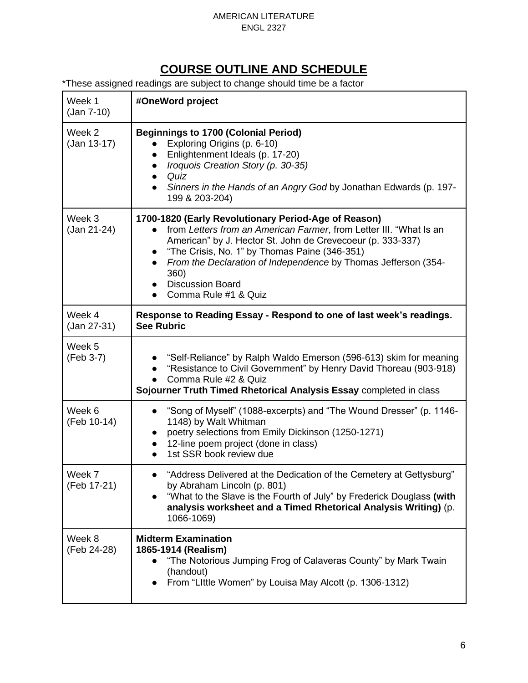## **COURSE OUTLINE AND SCHEDULE**

\*These assigned readings are subject to change should time be a factor

| Week 1<br>$(Jan 7-10)$  | #OneWord project                                                                                                                                                                                                                                                                                                                                                                                 |  |
|-------------------------|--------------------------------------------------------------------------------------------------------------------------------------------------------------------------------------------------------------------------------------------------------------------------------------------------------------------------------------------------------------------------------------------------|--|
| Week 2<br>$(Jan 13-17)$ | <b>Beginnings to 1700 (Colonial Period)</b><br>Exploring Origins (p. 6-10)<br>Enlightenment Ideals (p. 17-20)<br>Iroquois Creation Story (p. 30-35)<br>$\bullet$<br>Quiz<br>$\bullet$<br>Sinners in the Hands of an Angry God by Jonathan Edwards (p. 197-<br>$\bullet$<br>199 & 203-204)                                                                                                        |  |
| Week 3<br>(Jan 21-24)   | 1700-1820 (Early Revolutionary Period-Age of Reason)<br>from Letters from an American Farmer, from Letter III. "What Is an<br>American" by J. Hector St. John de Crevecoeur (p. 333-337)<br>"The Crisis, No. 1" by Thomas Paine (346-351)<br>$\bullet$<br>From the Declaration of Independence by Thomas Jefferson (354-<br>360)<br><b>Discussion Board</b><br>Comma Rule #1 & Quiz<br>$\bullet$ |  |
| Week 4<br>(Jan 27-31)   | Response to Reading Essay - Respond to one of last week's readings.<br><b>See Rubric</b>                                                                                                                                                                                                                                                                                                         |  |
| Week 5<br>(Feb 3-7)     | "Self-Reliance" by Ralph Waldo Emerson (596-613) skim for meaning<br>"Resistance to Civil Government" by Henry David Thoreau (903-918)<br>Comma Rule #2 & Quiz<br>Sojourner Truth Timed Rhetorical Analysis Essay completed in class                                                                                                                                                             |  |
| Week 6<br>(Feb 10-14)   | "Song of Myself" (1088-excerpts) and "The Wound Dresser" (p. 1146-<br>1148) by Walt Whitman<br>poetry selections from Emily Dickinson (1250-1271)<br>$\bullet$<br>12-line poem project (done in class)<br>$\bullet$<br>1st SSR book review due                                                                                                                                                   |  |
| Week 7<br>(Feb 17-21)   | "Address Delivered at the Dedication of the Cemetery at Gettysburg"<br>by Abraham Lincoln (p. 801)<br>"What to the Slave is the Fourth of July" by Frederick Douglass (with<br>analysis worksheet and a Timed Rhetorical Analysis Writing) (p.<br>1066-1069)                                                                                                                                     |  |
| Week 8<br>(Feb 24-28)   | <b>Midterm Examination</b><br>1865-1914 (Realism)<br>"The Notorious Jumping Frog of Calaveras County" by Mark Twain<br>(handout)<br>From "Little Women" by Louisa May Alcott (p. 1306-1312)                                                                                                                                                                                                      |  |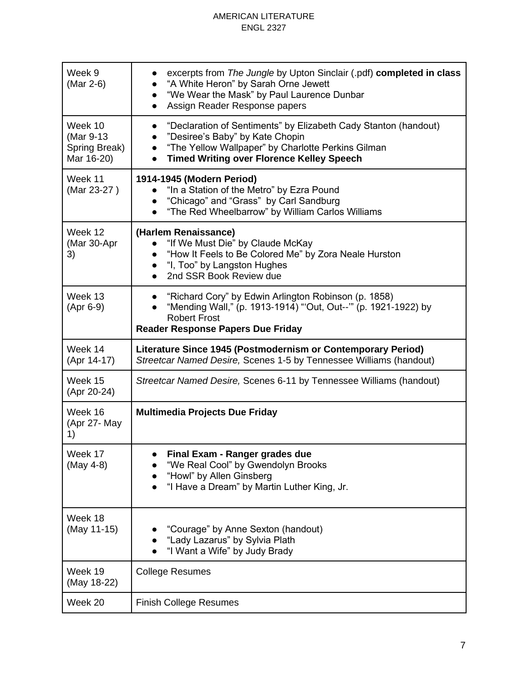| Week 9<br>(Mar 2-6)                                 | excerpts from The Jungle by Upton Sinclair (.pdf) completed in class<br>"A White Heron" by Sarah Orne Jewett<br>"We Wear the Mask" by Paul Laurence Dunbar<br>$\bullet$<br>Assign Reader Response papers<br>$\bullet$                                            |  |
|-----------------------------------------------------|------------------------------------------------------------------------------------------------------------------------------------------------------------------------------------------------------------------------------------------------------------------|--|
| Week 10<br>(Mar 9-13<br>Spring Break)<br>Mar 16-20) | "Declaration of Sentiments" by Elizabeth Cady Stanton (handout)<br>$\bullet$<br>"Desiree's Baby" by Kate Chopin<br>$\bullet$<br>"The Yellow Wallpaper" by Charlotte Perkins Gilman<br>$\bullet$<br><b>Timed Writing over Florence Kelley Speech</b><br>$\bullet$ |  |
| Week 11<br>(Mar 23-27)                              | 1914-1945 (Modern Period)<br>"In a Station of the Metro" by Ezra Pound<br>• "Chicago" and "Grass" by Carl Sandburg<br>"The Red Wheelbarrow" by William Carlos Williams<br>$\bullet$                                                                              |  |
| Week 12<br>(Mar 30-Apr<br>3)                        | (Harlem Renaissance)<br>"If We Must Die" by Claude McKay<br>"How It Feels to Be Colored Me" by Zora Neale Hurston<br>• "I, Too" by Langston Hughes<br>2nd SSR Book Review due                                                                                    |  |
| Week 13<br>(Apr 6-9)                                | "Richard Cory" by Edwin Arlington Robinson (p. 1858)<br>$\bullet$<br>"Mending Wall," (p. 1913-1914) "'Out, Out--'" (p. 1921-1922) by<br>$\bullet$<br><b>Robert Frost</b><br><b>Reader Response Papers Due Friday</b>                                             |  |
| Week 14<br>(Apr 14-17)                              | Literature Since 1945 (Postmodernism or Contemporary Period)<br>Streetcar Named Desire, Scenes 1-5 by Tennessee Williams (handout)                                                                                                                               |  |
| Week 15<br>(Apr 20-24)                              | Streetcar Named Desire, Scenes 6-11 by Tennessee Williams (handout)                                                                                                                                                                                              |  |
| Week 16<br>(Apr 27- May<br>1)                       | <b>Multimedia Projects Due Friday</b>                                                                                                                                                                                                                            |  |
| Week 17<br>(May 4-8)                                | Final Exam - Ranger grades due<br>"We Real Cool" by Gwendolyn Brooks<br>"Howl" by Allen Ginsberg<br>"I Have a Dream" by Martin Luther King, Jr.                                                                                                                  |  |
| Week 18<br>(May 11-15)                              | "Courage" by Anne Sexton (handout)<br>"Lady Lazarus" by Sylvia Plath<br>"I Want a Wife" by Judy Brady                                                                                                                                                            |  |
| Week 19<br>(May 18-22)                              | <b>College Resumes</b>                                                                                                                                                                                                                                           |  |
| Week 20                                             | <b>Finish College Resumes</b>                                                                                                                                                                                                                                    |  |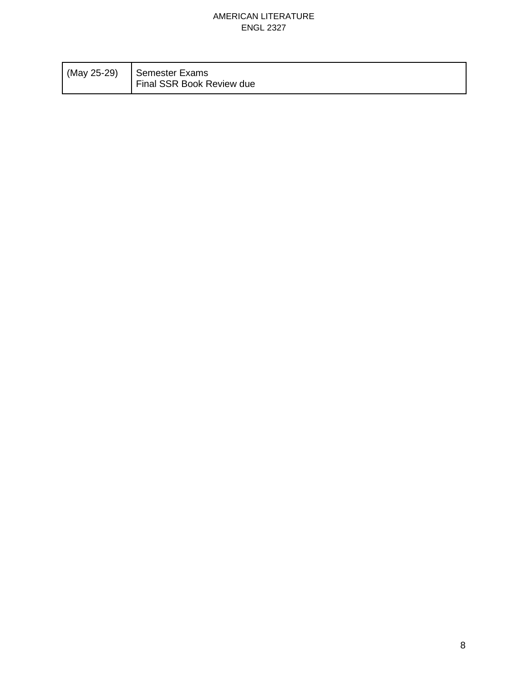| (May 25-29) | Semester Exams<br>Final SSR Book Review due |
|-------------|---------------------------------------------|
|             |                                             |